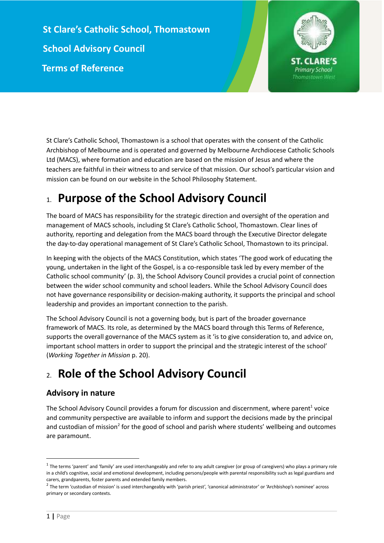**St Clare's Catholic School, Thomastown School Advisory Council Terms of Reference**



St Clare's Catholic School, Thomastown is a school that operates with the consent of the Catholic Archbishop of Melbourne and is operated and governed by Melbourne Archdiocese Catholic Schools Ltd (MACS), where formation and education are based on the mission of Jesus and where the teachers are faithful in their witness to and service of that mission. Our school's particular vision and mission can be found on our website in the School Philosophy Statement.

# 1. **Purpose of the School Advisory Council**

The board of MACS has responsibility for the strategic direction and oversight of the operation and management of MACS schools, including St Clare's Catholic School, Thomastown. Clear lines of authority, reporting and delegation from the MACS board through the Executive Director delegate the day-to-day operational management of St Clare's Catholic School, Thomastown to its principal.

In keeping with the objects of the MACS Constitution, which states 'The good work of educating the young, undertaken in the light of the Gospel, is a co-responsible task led by every member of the Catholic school community' (p. 3), the School Advisory Council provides a crucial point of connection between the wider school community and school leaders. While the School Advisory Council does not have governance responsibility or decision-making authority, it supports the principal and school leadership and provides an important connection to the parish.

The School Advisory Council is not a governing body, but is part of the broader governance framework of MACS. Its role, as determined by the MACS board through this Terms of Reference, supports the overall governance of the MACS system as it 'is to give consideration to, and advice on, important school matters in order to support the principal and the strategic interest of the school' (*Working Together in Mission* p. 20).

# 2. **Role of the School Advisory Council**

## **Advisory in nature**

The School Advisory Council provides a forum for discussion and discernment, where parent<sup>1</sup> voice and community perspective are available to inform and support the decisions made by the principal and custodian of mission<sup>2</sup> for the good of school and parish where students' wellbeing and outcomes are paramount.

 $^{\text{1}}$  The terms 'parent' and 'family' are used interchangeably and refer to any adult caregiver (or group of caregivers) who plays a primary role in a child's cognitive, social and emotional development, including persons/people with parental responsibility such as legal guardians and carers, grandparents, foster parents and extended family members.

<sup>&</sup>lt;sup>2</sup> The term 'custodian of mission' is used interchangeably with 'parish priest', 'canonical administrator' or 'Archbishop's nominee' across primary or secondary contexts.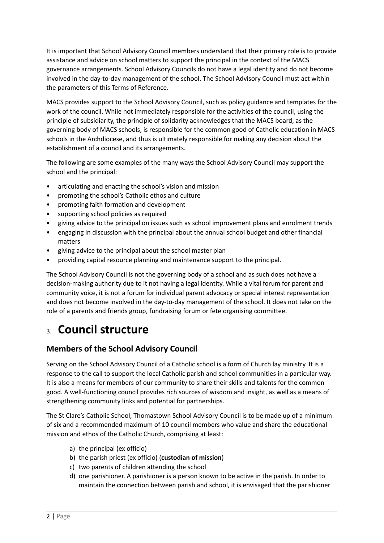It is important that School Advisory Council members understand that their primary role is to provide assistance and advice on school matters to support the principal in the context of the MACS governance arrangements. School Advisory Councils do not have a legal identity and do not become involved in the day-to-day management of the school. The School Advisory Council must act within the parameters of this Terms of Reference.

MACS provides support to the School Advisory Council, such as policy guidance and templates for the work of the council. While not immediately responsible for the activities of the council, using the principle of subsidiarity, the principle of solidarity acknowledges that the MACS board, as the governing body of MACS schools, is responsible for the common good of Catholic education in MACS schools in the Archdiocese, and thus is ultimately responsible for making any decision about the establishment of a council and its arrangements.

The following are some examples of the many ways the School Advisory Council may support the school and the principal:

- articulating and enacting the school's vision and mission
- promoting the school's Catholic ethos and culture
- promoting faith formation and development
- supporting school policies as required
- giving advice to the principal on issues such as school improvement plans and enrolment trends
- engaging in discussion with the principal about the annual school budget and other financial matters
- giving advice to the principal about the school master plan
- providing capital resource planning and maintenance support to the principal.

The School Advisory Council is not the governing body of a school and as such does not have a decision-making authority due to it not having a legal identity. While a vital forum for parent and community voice, it is not a forum for individual parent advocacy or special interest representation and does not become involved in the day-to-day management of the school. It does not take on the role of a parents and friends group, fundraising forum or fete organising committee.

# 3. **Council structure**

### **Members of the School Advisory Council**

Serving on the School Advisory Council of a Catholic school is a form of Church lay ministry. It is a response to the call to support the local Catholic parish and school communities in a particular way. It is also a means for members of our community to share their skills and talents for the common good. A well-functioning council provides rich sources of wisdom and insight, as well as a means of strengthening community links and potential for partnerships.

The St Clare's Catholic School, Thomastown School Advisory Council is to be made up of a minimum of six and a recommended maximum of 10 council members who value and share the educational mission and ethos of the Catholic Church, comprising at least:

- a) the principal (ex officio)
- b) the parish priest (ex officio) (**custodian of mission**)
- c) two parents of children attending the school
- d) one parishioner. A parishioner is a person known to be active in the parish. In order to maintain the connection between parish and school, it is envisaged that the parishioner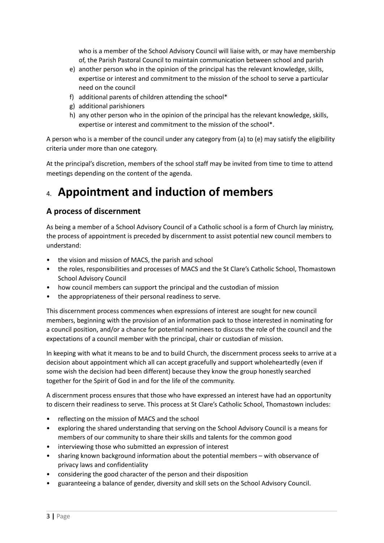who is a member of the School Advisory Council will liaise with, or may have membership of, the Parish Pastoral Council to maintain communication between school and parish

- e) another person who in the opinion of the principal has the relevant knowledge, skills, expertise or interest and commitment to the mission of the school to serve a particular need on the council
- f) additional parents of children attending the school\*
- g) additional parishioners
- h) any other person who in the opinion of the principal has the relevant knowledge, skills, expertise or interest and commitment to the mission of the school\*.

A person who is a member of the council under any category from (a) to (e) may satisfy the eligibility criteria under more than one category.

At the principal's discretion, members of the school staff may be invited from time to time to attend meetings depending on the content of the agenda.

# 4. **Appointment and induction of members**

## **A process of discernment**

As being a member of a School Advisory Council of a Catholic school is a form of Church lay ministry, the process of appointment is preceded by discernment to assist potential new council members to understand:

- the vision and mission of MACS, the parish and school
- the roles, responsibilities and processes of MACS and the St Clare's Catholic School, Thomastown School Advisory Council
- how council members can support the principal and the custodian of mission
- the appropriateness of their personal readiness to serve.

This discernment process commences when expressions of interest are sought for new council members, beginning with the provision of an information pack to those interested in nominating for a council position, and/or a chance for potential nominees to discuss the role of the council and the expectations of a council member with the principal, chair or custodian of mission.

In keeping with what it means to be and to build Church, the discernment process seeks to arrive at a decision about appointment which all can accept gracefully and support wholeheartedly (even if some wish the decision had been different) because they know the group honestly searched together for the Spirit of God in and for the life of the community.

A discernment process ensures that those who have expressed an interest have had an opportunity to discern their readiness to serve. This process at St Clare's Catholic School, Thomastown includes:

- reflecting on the mission of MACS and the school
- exploring the shared understanding that serving on the School Advisory Council is a means for members of our community to share their skills and talents for the common good
- interviewing those who submitted an expression of interest
- sharing known background information about the potential members with observance of privacy laws and confidentiality
- considering the good character of the person and their disposition
- guaranteeing a balance of gender, diversity and skill sets on the School Advisory Council.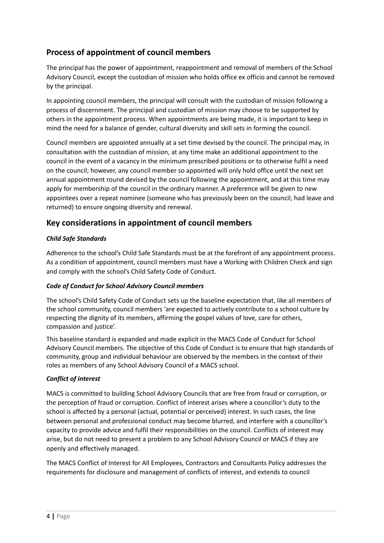## **Process of appointment of council members**

The principal has the power of appointment, reappointment and removal of members of the School Advisory Council, except the custodian of mission who holds office ex officio and cannot be removed by the principal.

In appointing council members, the principal will consult with the custodian of mission following a process of discernment. The principal and custodian of mission may choose to be supported by others in the appointment process. When appointments are being made, it is important to keep in mind the need for a balance of gender, cultural diversity and skill sets in forming the council.

Council members are appointed annually at a set time devised by the council. The principal may, in consultation with the custodian of mission, at any time make an additional appointment to the council in the event of a vacancy in the minimum prescribed positions or to otherwise fulfil a need on the council; however, any council member so appointed will only hold office until the next set annual appointment round devised by the council following the appointment, and at this time may apply for membership of the council in the ordinary manner. A preference will be given to new appointees over a repeat nominee (someone who has previously been on the council, had leave and returned) to ensure ongoing diversity and renewal.

## **Key considerations in appointment of council members**

#### *Child Safe Standards*

Adherence to the school's Child Safe Standards must be at the forefront of any appointment process. As a condition of appointment, council members must have a Working with Children Check and sign and comply with the school's Child Safety Code of Conduct.

#### *Code of Conduct for School Advisory Council members*

The school's Child Safety Code of Conduct sets up the baseline expectation that, like all members of the school community, council members 'are expected to actively contribute to a school culture by respecting the dignity of its members, affirming the gospel values of love, care for others, compassion and justice'.

This baseline standard is expanded and made explicit in the MACS Code of Conduct for School Advisory Council members. The objective of this Code of Conduct is to ensure that high standards of community, group and individual behaviour are observed by the members in the context of their roles as members of any School Advisory Council of a MACS school.

#### *Conflict of interest*

MACS is committed to building School Advisory Councils that are free from fraud or corruption, or the perception of fraud or corruption. Conflict of interest arises where a councillor's duty to the school is affected by a personal (actual, potential or perceived) interest. In such cases, the line between personal and professional conduct may become blurred, and interfere with a councillor's capacity to provide advice and fulfil their responsibilities on the council. Conflicts of interest may arise, but do not need to present a problem to any School Advisory Council or MACS if they are openly and effectively managed.

The MACS Conflict of Interest for All Employees, Contractors and Consultants Policy addresses the requirements for disclosure and management of conflicts of interest, and extends to council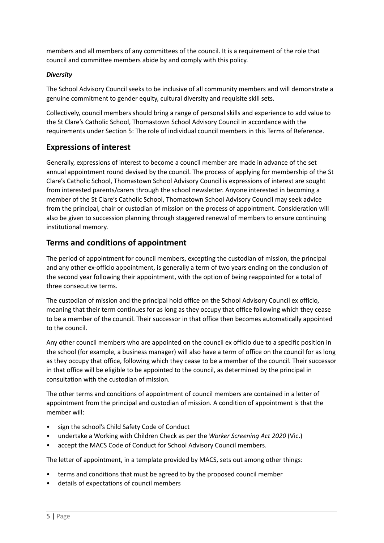members and all members of any committees of the council. It is a requirement of the role that council and committee members abide by and comply with this policy.

#### *Diversity*

The School Advisory Council seeks to be inclusive of all community members and will demonstrate a genuine commitment to gender equity, cultural diversity and requisite skill sets.

Collectively, council members should bring a range of personal skills and experience to add value to the St Clare's Catholic School, Thomastown School Advisory Council in accordance with the requirements under Section 5: The role of individual council members in this Terms of Reference.

## **Expressions of interest**

Generally, expressions of interest to become a council member are made in advance of the set annual appointment round devised by the council. The process of applying for membership of the St Clare's Catholic School, Thomastown School Advisory Council is expressions of interest are sought from interested parents/carers through the school newsletter. Anyone interested in becoming a member of the St Clare's Catholic School, Thomastown School Advisory Council may seek advice from the principal, chair or custodian of mission on the process of appointment. Consideration will also be given to succession planning through staggered renewal of members to ensure continuing institutional memory.

## **Terms and conditions of appointment**

The period of appointment for council members, excepting the custodian of mission, the principal and any other ex-officio appointment, is generally a term of two years ending on the conclusion of the second year following their appointment, with the option of being reappointed for a total of three consecutive terms.

The custodian of mission and the principal hold office on the School Advisory Council ex officio, meaning that their term continues for as long as they occupy that office following which they cease to be a member of the council. Their successor in that office then becomes automatically appointed to the council.

Any other council members who are appointed on the council ex officio due to a specific position in the school (for example, a business manager) will also have a term of office on the council for as long as they occupy that office, following which they cease to be a member of the council. Their successor in that office will be eligible to be appointed to the council, as determined by the principal in consultation with the custodian of mission.

The other terms and conditions of appointment of council members are contained in a letter of appointment from the principal and custodian of mission. A condition of appointment is that the member will:

- sign the school's Child Safety Code of Conduct
- undertake a Working with Children Check as per the *Worker Screening Act 2020* (Vic.)
- accept the MACS Code of Conduct for School Advisory Council members.

The letter of appointment, in a template provided by MACS, sets out among other things:

- terms and conditions that must be agreed to by the proposed council member
- details of expectations of council members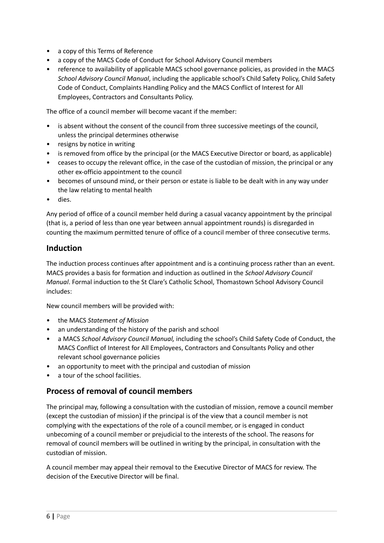- a copy of this Terms of Reference
- a copy of the MACS Code of Conduct for School Advisory Council members
- reference to availability of applicable MACS school governance policies, as provided in the MACS *School Advisory Council Manual*, including the applicable school's Child Safety Policy, Child Safety Code of Conduct, Complaints Handling Policy and the MACS Conflict of Interest for All Employees, Contractors and Consultants Policy.

The office of a council member will become vacant if the member:

- is absent without the consent of the council from three successive meetings of the council, unless the principal determines otherwise
- resigns by notice in writing
- is removed from office by the principal (or the MACS Executive Director or board, as applicable)
- ceases to occupy the relevant office, in the case of the custodian of mission, the principal or any other ex-officio appointment to the council
- becomes of unsound mind, or their person or estate is liable to be dealt with in any way under the law relating to mental health
- dies.

Any period of office of a council member held during a casual vacancy appointment by the principal (that is, a period of less than one year between annual appointment rounds) is disregarded in counting the maximum permitted tenure of office of a council member of three consecutive terms.

### **Induction**

The induction process continues after appointment and is a continuing process rather than an event. MACS provides a basis for formation and induction as outlined in the *School Advisory Council Manual*. Formal induction to the St Clare's Catholic School, Thomastown School Advisory Council includes:

New council members will be provided with:

- the MACS *Statement of Mission*
- an understanding of the history of the parish and school
- a MACS *School Advisory Council Manual,* including the school's Child Safety Code of Conduct, the MACS Conflict of Interest for All Employees, Contractors and Consultants Policy and other relevant school governance policies
- an opportunity to meet with the principal and custodian of mission
- a tour of the school facilities.

### **Process of removal of council members**

The principal may, following a consultation with the custodian of mission, remove a council member (except the custodian of mission) if the principal is of the view that a council member is not complying with the expectations of the role of a council member, or is engaged in conduct unbecoming of a council member or prejudicial to the interests of the school. The reasons for removal of council members will be outlined in writing by the principal, in consultation with the custodian of mission.

A council member may appeal their removal to the Executive Director of MACS for review. The decision of the Executive Director will be final.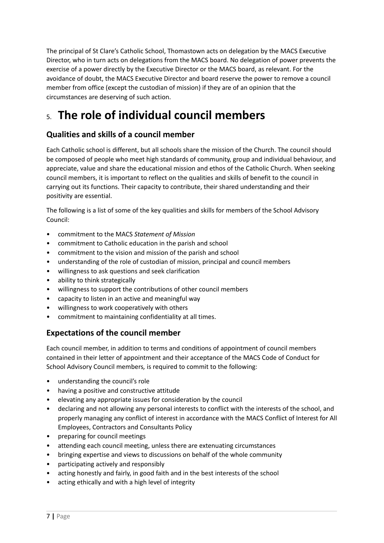The principal of St Clare's Catholic School, Thomastown acts on delegation by the MACS Executive Director, who in turn acts on delegations from the MACS board. No delegation of power prevents the exercise of a power directly by the Executive Director or the MACS board, as relevant. For the avoidance of doubt, the MACS Executive Director and board reserve the power to remove a council member from office (except the custodian of mission) if they are of an opinion that the circumstances are deserving of such action.

# 5. **The role of individual council members**

# **Qualities and skills of a council member**

Each Catholic school is different, but all schools share the mission of the Church. The council should be composed of people who meet high standards of community, group and individual behaviour, and appreciate, value and share the educational mission and ethos of the Catholic Church. When seeking council members, it is important to reflect on the qualities and skills of benefit to the council in carrying out its functions. Their capacity to contribute, their shared understanding and their positivity are essential.

The following is a list of some of the key qualities and skills for members of the School Advisory Council:

- commitment to the MACS *Statement of Mission*
- commitment to Catholic education in the parish and school
- commitment to the vision and mission of the parish and school
- understanding of the role of custodian of mission, principal and council members
- willingness to ask questions and seek clarification
- ability to think strategically
- willingness to support the contributions of other council members
- capacity to listen in an active and meaningful way
- willingness to work cooperatively with others
- commitment to maintaining confidentiality at all times.

# **Expectations of the council member**

Each council member, in addition to terms and conditions of appointment of council members contained in their letter of appointment and their acceptance of the MACS Code of Conduct for School Advisory Council members*,* is required to commit to the following:

- understanding the council's role
- having a positive and constructive attitude
- elevating any appropriate issues for consideration by the council
- declaring and not allowing any personal interests to conflict with the interests of the school, and properly managing any conflict of interest in accordance with the MACS Conflict of Interest for All Employees, Contractors and Consultants Policy
- preparing for council meetings
- attending each council meeting, unless there are extenuating circumstances
- bringing expertise and views to discussions on behalf of the whole community
- participating actively and responsibly
- acting honestly and fairly, in good faith and in the best interests of the school
- acting ethically and with a high level of integrity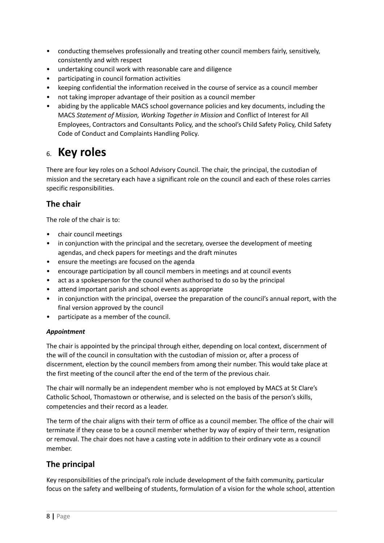- conducting themselves professionally and treating other council members fairly, sensitively, consistently and with respect
- undertaking council work with reasonable care and diligence
- participating in council formation activities
- keeping confidential the information received in the course of service as a council member
- not taking improper advantage of their position as a council member
- abiding by the applicable MACS school governance policies and key documents, including the MACS *Statement of Mission, Working Together in Mission* and Conflict of Interest for All Employees, Contractors and Consultants Policy, and the school's Child Safety Policy, Child Safety Code of Conduct and Complaints Handling Policy*.*

# 6. **Key roles**

There are four key roles on a School Advisory Council. The chair, the principal, the custodian of mission and the secretary each have a significant role on the council and each of these roles carries specific responsibilities.

## **The chair**

The role of the chair is to:

- chair council meetings
- in conjunction with the principal and the secretary, oversee the development of meeting agendas, and check papers for meetings and the draft minutes
- ensure the meetings are focused on the agenda
- encourage participation by all council members in meetings and at council events
- act as a spokesperson for the council when authorised to do so by the principal
- attend important parish and school events as appropriate
- in conjunction with the principal, oversee the preparation of the council's annual report, with the final version approved by the council
- participate as a member of the council.

#### *Appointment*

The chair is appointed by the principal through either, depending on local context, discernment of the will of the council in consultation with the custodian of mission or, after a process of discernment, election by the council members from among their number. This would take place at the first meeting of the council after the end of the term of the previous chair.

The chair will normally be an independent member who is not employed by MACS at St Clare's Catholic School, Thomastown or otherwise, and is selected on the basis of the person's skills, competencies and their record as a leader.

The term of the chair aligns with their term of office as a council member. The office of the chair will terminate if they cease to be a council member whether by way of expiry of their term, resignation or removal. The chair does not have a casting vote in addition to their ordinary vote as a council member.

## **The principal**

Key responsibilities of the principal's role include development of the faith community, particular focus on the safety and wellbeing of students, formulation of a vision for the whole school, attention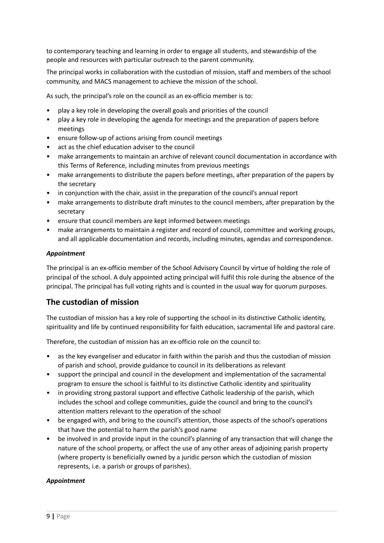to contemporary teaching and learning in order to engage all students, and stewardship of the people and resources with particular outreach to the parent community.

The principal works in collaboration with the custodian of mission, staff and members of the school community, and MACS management to achieve the mission of the school.

As such, the principal's role on the council as an ex-officio member is to:

- play a key role in developing the overall goals and priorities of the council
- play a key role in developing the agenda for meetings and the preparation of papers before meetings
- ensure follow-up of actions arising from council meetings
- act as the chief education adviser to the council
- make arrangements to maintain an archive of relevant council documentation in accordance with this Terms of Reference, including minutes from previous meetings
- make arrangements to distribute the papers before meetings, after preparation of the papers by the secretary
- in conjunction with the chair, assist in the preparation of the council's annual report
- make arrangements to distribute draft minutes to the council members, after preparation by the secretary
- ensure that council members are kept informed between meetings
- make arrangements to maintain a register and record of council, committee and working groups, and all applicable documentation and records, including minutes, agendas and correspondence.

#### *Appointment*

The principal is an ex-officio member of the School Advisory Council by virtue of holding the role of principal of the school. A duly appointed acting principal will fulfil this role during the absence of the principal. The principal has full voting rights and is counted in the usual way for quorum purposes.

#### **The custodian of mission**

The custodian of mission has a key role of supporting the school in its distinctive Catholic identity, spirituality and life by continued responsibility for faith education, sacramental life and pastoral care.

Therefore, the custodian of mission has an ex-officio role on the council to:

- as the key evangeliser and educator in faith within the parish and thus the custodian of mission of parish and school, provide guidance to council in its deliberations as relevant
- support the principal and council in the development and implementation of the sacramental program to ensure the school is faithful to its distinctive Catholic identity and spirituality
- in providing strong pastoral support and effective Catholic leadership of the parish, which includes the school and college communities, guide the council and bring to the council's attention matters relevant to the operation of the school
- be engaged with, and bring to the council's attention, those aspects of the school's operations that have the potential to harm the parish's good name
- be involved in and provide input in the council's planning of any transaction that will change the nature of the school property, or affect the use of any other areas of adjoining parish property (where property is beneficially owned by a juridic person which the custodian of mission represents, i.e. a parish or groups of parishes).

#### *Appointment*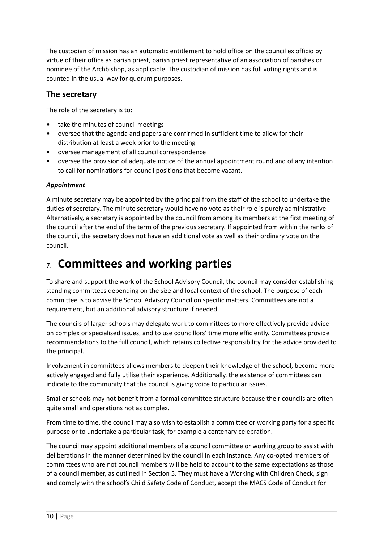The custodian of mission has an automatic entitlement to hold office on the council ex officio by virtue of their office as parish priest, parish priest representative of an association of parishes or nominee of the Archbishop, as applicable. The custodian of mission has full voting rights and is counted in the usual way for quorum purposes.

### **The secretary**

The role of the secretary is to:

- take the minutes of council meetings
- oversee that the agenda and papers are confirmed in sufficient time to allow for their distribution at least a week prior to the meeting
- oversee management of all council correspondence
- oversee the provision of adequate notice of the annual appointment round and of any intention to call for nominations for council positions that become vacant.

#### *Appointment*

A minute secretary may be appointed by the principal from the staff of the school to undertake the duties of secretary. The minute secretary would have no vote as their role is purely administrative. Alternatively, a secretary is appointed by the council from among its members at the first meeting of the council after the end of the term of the previous secretary. If appointed from within the ranks of the council, the secretary does not have an additional vote as well as their ordinary vote on the council.

# 7. **Committees and working parties**

To share and support the work of the School Advisory Council, the council may consider establishing standing committees depending on the size and local context of the school. The purpose of each committee is to advise the School Advisory Council on specific matters. Committees are not a requirement, but an additional advisory structure if needed.

The councils of larger schools may delegate work to committees to more effectively provide advice on complex or specialised issues, and to use councillors' time more efficiently. Committees provide recommendations to the full council, which retains collective responsibility for the advice provided to the principal.

Involvement in committees allows members to deepen their knowledge of the school, become more actively engaged and fully utilise their experience. Additionally, the existence of committees can indicate to the community that the council is giving voice to particular issues.

Smaller schools may not benefit from a formal committee structure because their councils are often quite small and operations not as complex.

From time to time, the council may also wish to establish a committee or working party for a specific purpose or to undertake a particular task, for example a centenary celebration.

The council may appoint additional members of a council committee or working group to assist with deliberations in the manner determined by the council in each instance. Any co-opted members of committees who are not council members will be held to account to the same expectations as those of a council member, as outlined in Section 5. They must have a Working with Children Check, sign and comply with the school's Child Safety Code of Conduct, accept the MACS Code of Conduct for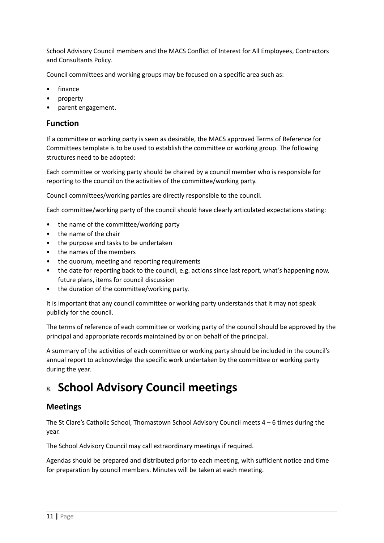School Advisory Council members and the MACS Conflict of Interest for All Employees, Contractors and Consultants Policy.

Council committees and working groups may be focused on a specific area such as:

- finance
- property
- parent engagement.

### **Function**

If a committee or working party is seen as desirable, the MACS approved Terms of Reference for Committees template is to be used to establish the committee or working group. The following structures need to be adopted:

Each committee or working party should be chaired by a council member who is responsible for reporting to the council on the activities of the committee/working party.

Council committees/working parties are directly responsible to the council.

Each committee/working party of the council should have clearly articulated expectations stating:

- the name of the committee/working party
- the name of the chair
- the purpose and tasks to be undertaken
- the names of the members
- the quorum, meeting and reporting requirements
- the date for reporting back to the council, e.g. actions since last report, what's happening now, future plans, items for council discussion
- the duration of the committee/working party.

It is important that any council committee or working party understands that it may not speak publicly for the council.

The terms of reference of each committee or working party of the council should be approved by the principal and appropriate records maintained by or on behalf of the principal.

A summary of the activities of each committee or working party should be included in the council's annual report to acknowledge the specific work undertaken by the committee or working party during the year.

# 8. **School Advisory Council meetings**

### **Meetings**

The St Clare's Catholic School, Thomastown School Advisory Council meets 4 – 6 times during the year.

The School Advisory Council may call extraordinary meetings if required.

Agendas should be prepared and distributed prior to each meeting, with sufficient notice and time for preparation by council members. Minutes will be taken at each meeting.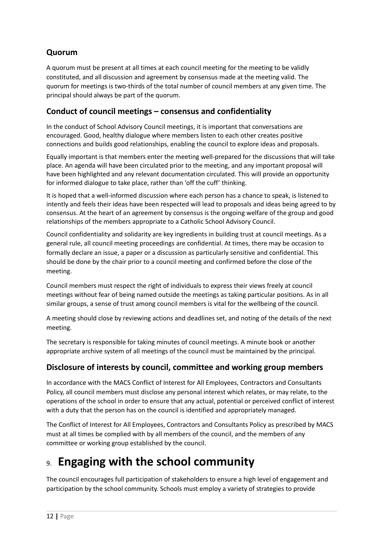# **Quorum**

A quorum must be present at all times at each council meeting for the meeting to be validly constituted, and all discussion and agreement by consensus made at the meeting valid. The quorum for meetings is two-thirds of the total number of council members at any given time. The principal should always be part of the quorum.

## **Conduct of council meetings – consensus and confidentiality**

In the conduct of School Advisory Council meetings, it is important that conversations are encouraged. Good, healthy dialogue where members listen to each other creates positive connections and builds good relationships, enabling the council to explore ideas and proposals.

Equally important is that members enter the meeting well-prepared for the discussions that will take place. An agenda will have been circulated prior to the meeting, and any important proposal will have been highlighted and any relevant documentation circulated. This will provide an opportunity for informed dialogue to take place, rather than 'off the cuff' thinking.

It is hoped that a well-informed discussion where each person has a chance to speak, is listened to intently and feels their ideas have been respected will lead to proposals and ideas being agreed to by consensus. At the heart of an agreement by consensus is the ongoing welfare of the group and good relationships of the members appropriate to a Catholic School Advisory Council.

Council confidentiality and solidarity are key ingredients in building trust at council meetings. As a general rule, all council meeting proceedings are confidential. At times, there may be occasion to formally declare an issue, a paper or a discussion as particularly sensitive and confidential. This should be done by the chair prior to a council meeting and confirmed before the close of the meeting.

Council members must respect the right of individuals to express their views freely at council meetings without fear of being named outside the meetings as taking particular positions. As in all similar groups, a sense of trust among council members is vital for the wellbeing of the council.

A meeting should close by reviewing actions and deadlines set, and noting of the details of the next meeting.

The secretary is responsible for taking minutes of council meetings. A minute book or another appropriate archive system of all meetings of the council must be maintained by the principal.

## **Disclosure of interests by council, committee and working group members**

In accordance with the MACS Conflict of Interest for All Employees, Contractors and Consultants Policy, all council members must disclose any personal interest which relates, or may relate, to the operations of the school in order to ensure that any actual, potential or perceived conflict of interest with a duty that the person has on the council is identified and appropriately managed.

The Conflict of Interest for All Employees, Contractors and Consultants Policy as prescribed by MACS must at all times be complied with by all members of the council, and the members of any committee or working group established by the council.

# 9. **Engaging with the school community**

The council encourages full participation of stakeholders to ensure a high level of engagement and participation by the school community. Schools must employ a variety of strategies to provide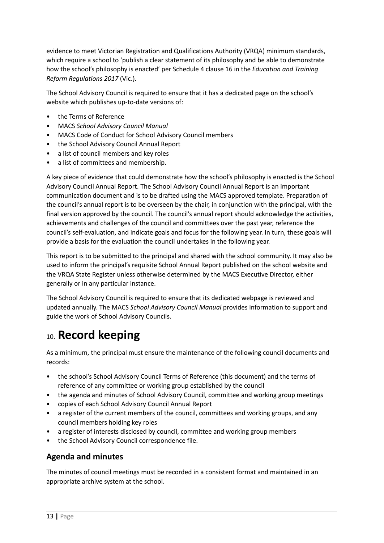evidence to meet Victorian Registration and Qualifications Authority (VRQA) minimum standards, which require a school to 'publish a clear statement of its philosophy and be able to demonstrate how the school's philosophy is enacted' per Schedule 4 clause 16 in the *Education and Training Reform Regulations 2017* (Vic.).

The School Advisory Council is required to ensure that it has a dedicated page on the school's website which publishes up-to-date versions of:

- the Terms of Reference
- MACS *School Advisory Council Manual*
- MACS Code of Conduct for School Advisory Council members
- the School Advisory Council Annual Report
- a list of council members and key roles
- a list of committees and membership.

A key piece of evidence that could demonstrate how the school's philosophy is enacted is the School Advisory Council Annual Report. The School Advisory Council Annual Report is an important communication document and is to be drafted using the MACS approved template. Preparation of the council's annual report is to be overseen by the chair, in conjunction with the principal, with the final version approved by the council. The council's annual report should acknowledge the activities, achievements and challenges of the council and committees over the past year, reference the council's self-evaluation, and indicate goals and focus for the following year. In turn, these goals will provide a basis for the evaluation the council undertakes in the following year.

This report is to be submitted to the principal and shared with the school community. It may also be used to inform the principal's requisite School Annual Report published on the school website and the VRQA State Register unless otherwise determined by the MACS Executive Director, either generally or in any particular instance.

The School Advisory Council is required to ensure that its dedicated webpage is reviewed and updated annually. The MACS *School Advisory Council Manual* provides information to support and guide the work of School Advisory Councils.

# 10. **Record keeping**

As a minimum, the principal must ensure the maintenance of the following council documents and records:

- the school's School Advisory Council Terms of Reference (this document) and the terms of reference of any committee or working group established by the council
- the agenda and minutes of School Advisory Council, committee and working group meetings
- copies of each School Advisory Council Annual Report
- a register of the current members of the council, committees and working groups, and any council members holding key roles
- a register of interests disclosed by council, committee and working group members
- the School Advisory Council correspondence file.

### **Agenda and minutes**

The minutes of council meetings must be recorded in a consistent format and maintained in an appropriate archive system at the school.